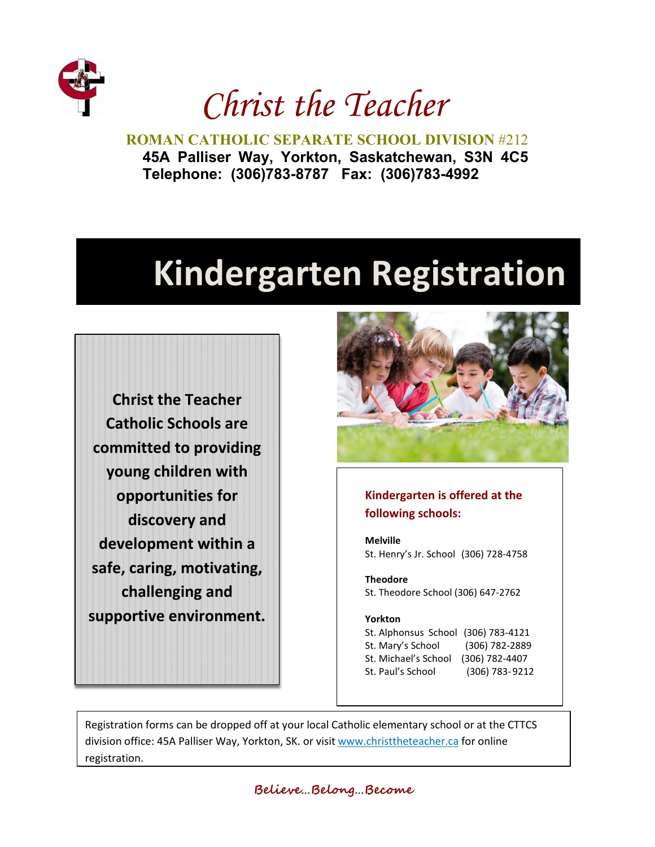

*Christ the Teacher.*

**ROMAN CATHOLIC SEPARATE SCHOOL DIVISION** #212 **45A Palliser Way, Yorkton, Saskatchewan, S3N 4C5 Telephone: (306)783-8787 Fax: (306)783-4992** 

# **Kindergarten Registration**

**Christ the Teacher Catholic Schools are committed to providing young children with opportunities for discovery and development within a safe, caring, motivating, challenging and supportive environment.** 



## **Kindergarten is offered at the following schools:**

**Melville** St. Henry's Jr. School (306) 728-4758

**Theodore** St. Theodore School (306) 647-2762

#### **Yorkton**

St. Alphonsus School (306) 783-4121 St. Mary's School (306) 782-2889 St. Michael's School (306) 782-4407 St. Paul's School (306) 783-9212

Registration forms can be dropped off at your local Catholic elementary school or at the CTTCS division office: 45A Palliser Way, Yorkton, SK. or visit [www.christtheteacher.ca](http://www.christtheteacher.ca/) [f](http://www.christtheteacher.ca/)or online registration.

**Believe…Belong…Become**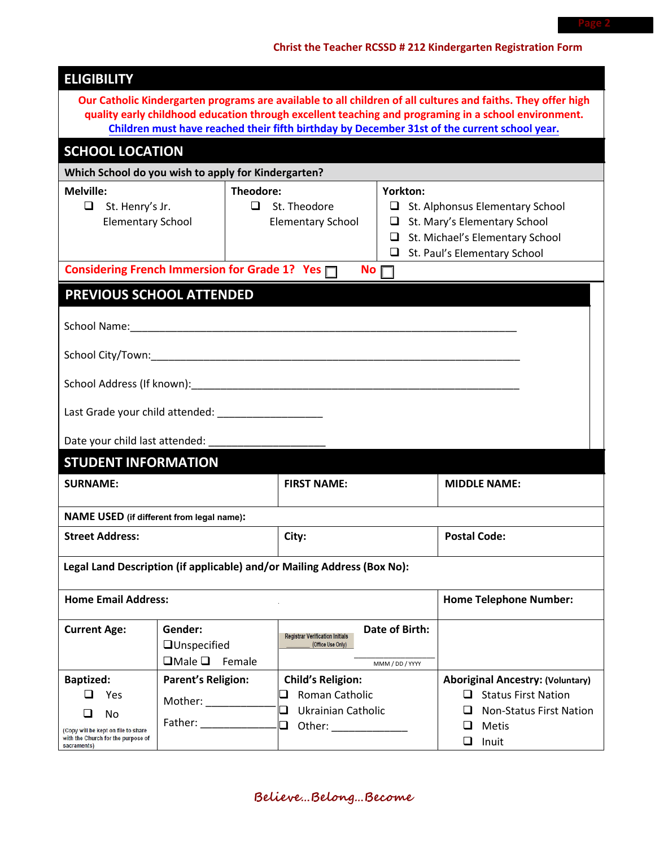## **Christ the Teacher RCSSD # 212 Kindergarten Registration Form 1**

| Our Catholic Kindergarten programs are available to all children of all cultures and faiths. They offer high<br>quality early childhood education through excellent teaching and programing in a school environment.<br>Children must have reached their fifth birthday by December 31st of the current school year.<br><b>SCHOOL LOCATION</b><br>Which School do you wish to apply for Kindergarten?<br><b>Melville:</b><br>Theodore:<br>Yorkton:<br>$\Box$<br>$\Box$ St. Theodore<br>St. Alphonsus Elementary School<br>St. Henry's Jr.<br>$\Box$ St. Mary's Elementary School<br><b>Elementary School</b><br><b>Elementary School</b><br>$\Box$ St. Michael's Elementary School<br>St. Paul's Elementary School<br>Considering French Immersion for Grade 1? Yes<br>No l<br>PREVIOUS SCHOOL ATTENDED<br>School Name: Name and School Name and School Name and School Name and School Name and School Name and School N<br>Date your child last attended: _________<br><b>STUDENT INFORMATION</b><br><b>SURNAME:</b><br><b>FIRST NAME:</b><br><b>MIDDLE NAME:</b><br><b>NAME USED</b> (if different from legal name):<br><b>Postal Code:</b><br><b>Street Address:</b><br>City:<br>Legal Land Description (if applicable) and/or Mailing Address (Box No):<br><b>Home Email Address:</b><br><b>Home Telephone Number:</b><br>Gender:<br>Date of Birth:<br><b>Current Age:</b><br><b>Registrar Verification Initials</b><br>$\Box$ Unspecified<br>(Office Use Only)<br>$\Box$ Male $\Box$ Female<br>MMM / DD / YYYY<br><b>Baptized:</b><br><b>Parent's Religion:</b><br><b>Child's Religion:</b><br><b>Aboriginal Ancestry: (Voluntary)</b><br>Roman Catholic<br><b>Status First Nation</b><br>ப<br>Yes<br>ப<br>Mother: $\frac{1}{1}$<br>$\Box$<br><b>Ukrainian Catholic</b><br><b>Non-Status First Nation</b><br>No<br>Father: and the state of the state of the state of the state of the state of the state of the state of the state of the state of the state of the state of the state of the state of the state of the state of the state of th<br>$\Box$<br>Metis<br>(Copy will be kept on file to share<br>with the Church for the purpose of | <b>ELIGIBILITY</b> |  |  |  |            |  |  |  |
|---------------------------------------------------------------------------------------------------------------------------------------------------------------------------------------------------------------------------------------------------------------------------------------------------------------------------------------------------------------------------------------------------------------------------------------------------------------------------------------------------------------------------------------------------------------------------------------------------------------------------------------------------------------------------------------------------------------------------------------------------------------------------------------------------------------------------------------------------------------------------------------------------------------------------------------------------------------------------------------------------------------------------------------------------------------------------------------------------------------------------------------------------------------------------------------------------------------------------------------------------------------------------------------------------------------------------------------------------------------------------------------------------------------------------------------------------------------------------------------------------------------------------------------------------------------------------------------------------------------------------------------------------------------------------------------------------------------------------------------------------------------------------------------------------------------------------------------------------------------------------------------------------------------------------------------------------------------------------------------------------------------------------------------------------------------------------------------------------------------------------------------------------------|--------------------|--|--|--|------------|--|--|--|
|                                                                                                                                                                                                                                                                                                                                                                                                                                                                                                                                                                                                                                                                                                                                                                                                                                                                                                                                                                                                                                                                                                                                                                                                                                                                                                                                                                                                                                                                                                                                                                                                                                                                                                                                                                                                                                                                                                                                                                                                                                                                                                                                                         |                    |  |  |  |            |  |  |  |
|                                                                                                                                                                                                                                                                                                                                                                                                                                                                                                                                                                                                                                                                                                                                                                                                                                                                                                                                                                                                                                                                                                                                                                                                                                                                                                                                                                                                                                                                                                                                                                                                                                                                                                                                                                                                                                                                                                                                                                                                                                                                                                                                                         |                    |  |  |  |            |  |  |  |
|                                                                                                                                                                                                                                                                                                                                                                                                                                                                                                                                                                                                                                                                                                                                                                                                                                                                                                                                                                                                                                                                                                                                                                                                                                                                                                                                                                                                                                                                                                                                                                                                                                                                                                                                                                                                                                                                                                                                                                                                                                                                                                                                                         |                    |  |  |  |            |  |  |  |
|                                                                                                                                                                                                                                                                                                                                                                                                                                                                                                                                                                                                                                                                                                                                                                                                                                                                                                                                                                                                                                                                                                                                                                                                                                                                                                                                                                                                                                                                                                                                                                                                                                                                                                                                                                                                                                                                                                                                                                                                                                                                                                                                                         |                    |  |  |  |            |  |  |  |
|                                                                                                                                                                                                                                                                                                                                                                                                                                                                                                                                                                                                                                                                                                                                                                                                                                                                                                                                                                                                                                                                                                                                                                                                                                                                                                                                                                                                                                                                                                                                                                                                                                                                                                                                                                                                                                                                                                                                                                                                                                                                                                                                                         |                    |  |  |  |            |  |  |  |
|                                                                                                                                                                                                                                                                                                                                                                                                                                                                                                                                                                                                                                                                                                                                                                                                                                                                                                                                                                                                                                                                                                                                                                                                                                                                                                                                                                                                                                                                                                                                                                                                                                                                                                                                                                                                                                                                                                                                                                                                                                                                                                                                                         |                    |  |  |  |            |  |  |  |
|                                                                                                                                                                                                                                                                                                                                                                                                                                                                                                                                                                                                                                                                                                                                                                                                                                                                                                                                                                                                                                                                                                                                                                                                                                                                                                                                                                                                                                                                                                                                                                                                                                                                                                                                                                                                                                                                                                                                                                                                                                                                                                                                                         |                    |  |  |  |            |  |  |  |
|                                                                                                                                                                                                                                                                                                                                                                                                                                                                                                                                                                                                                                                                                                                                                                                                                                                                                                                                                                                                                                                                                                                                                                                                                                                                                                                                                                                                                                                                                                                                                                                                                                                                                                                                                                                                                                                                                                                                                                                                                                                                                                                                                         |                    |  |  |  |            |  |  |  |
|                                                                                                                                                                                                                                                                                                                                                                                                                                                                                                                                                                                                                                                                                                                                                                                                                                                                                                                                                                                                                                                                                                                                                                                                                                                                                                                                                                                                                                                                                                                                                                                                                                                                                                                                                                                                                                                                                                                                                                                                                                                                                                                                                         |                    |  |  |  |            |  |  |  |
|                                                                                                                                                                                                                                                                                                                                                                                                                                                                                                                                                                                                                                                                                                                                                                                                                                                                                                                                                                                                                                                                                                                                                                                                                                                                                                                                                                                                                                                                                                                                                                                                                                                                                                                                                                                                                                                                                                                                                                                                                                                                                                                                                         |                    |  |  |  |            |  |  |  |
|                                                                                                                                                                                                                                                                                                                                                                                                                                                                                                                                                                                                                                                                                                                                                                                                                                                                                                                                                                                                                                                                                                                                                                                                                                                                                                                                                                                                                                                                                                                                                                                                                                                                                                                                                                                                                                                                                                                                                                                                                                                                                                                                                         |                    |  |  |  |            |  |  |  |
|                                                                                                                                                                                                                                                                                                                                                                                                                                                                                                                                                                                                                                                                                                                                                                                                                                                                                                                                                                                                                                                                                                                                                                                                                                                                                                                                                                                                                                                                                                                                                                                                                                                                                                                                                                                                                                                                                                                                                                                                                                                                                                                                                         |                    |  |  |  |            |  |  |  |
|                                                                                                                                                                                                                                                                                                                                                                                                                                                                                                                                                                                                                                                                                                                                                                                                                                                                                                                                                                                                                                                                                                                                                                                                                                                                                                                                                                                                                                                                                                                                                                                                                                                                                                                                                                                                                                                                                                                                                                                                                                                                                                                                                         |                    |  |  |  |            |  |  |  |
|                                                                                                                                                                                                                                                                                                                                                                                                                                                                                                                                                                                                                                                                                                                                                                                                                                                                                                                                                                                                                                                                                                                                                                                                                                                                                                                                                                                                                                                                                                                                                                                                                                                                                                                                                                                                                                                                                                                                                                                                                                                                                                                                                         |                    |  |  |  |            |  |  |  |
|                                                                                                                                                                                                                                                                                                                                                                                                                                                                                                                                                                                                                                                                                                                                                                                                                                                                                                                                                                                                                                                                                                                                                                                                                                                                                                                                                                                                                                                                                                                                                                                                                                                                                                                                                                                                                                                                                                                                                                                                                                                                                                                                                         |                    |  |  |  |            |  |  |  |
|                                                                                                                                                                                                                                                                                                                                                                                                                                                                                                                                                                                                                                                                                                                                                                                                                                                                                                                                                                                                                                                                                                                                                                                                                                                                                                                                                                                                                                                                                                                                                                                                                                                                                                                                                                                                                                                                                                                                                                                                                                                                                                                                                         |                    |  |  |  |            |  |  |  |
|                                                                                                                                                                                                                                                                                                                                                                                                                                                                                                                                                                                                                                                                                                                                                                                                                                                                                                                                                                                                                                                                                                                                                                                                                                                                                                                                                                                                                                                                                                                                                                                                                                                                                                                                                                                                                                                                                                                                                                                                                                                                                                                                                         |                    |  |  |  |            |  |  |  |
|                                                                                                                                                                                                                                                                                                                                                                                                                                                                                                                                                                                                                                                                                                                                                                                                                                                                                                                                                                                                                                                                                                                                                                                                                                                                                                                                                                                                                                                                                                                                                                                                                                                                                                                                                                                                                                                                                                                                                                                                                                                                                                                                                         |                    |  |  |  |            |  |  |  |
|                                                                                                                                                                                                                                                                                                                                                                                                                                                                                                                                                                                                                                                                                                                                                                                                                                                                                                                                                                                                                                                                                                                                                                                                                                                                                                                                                                                                                                                                                                                                                                                                                                                                                                                                                                                                                                                                                                                                                                                                                                                                                                                                                         |                    |  |  |  |            |  |  |  |
|                                                                                                                                                                                                                                                                                                                                                                                                                                                                                                                                                                                                                                                                                                                                                                                                                                                                                                                                                                                                                                                                                                                                                                                                                                                                                                                                                                                                                                                                                                                                                                                                                                                                                                                                                                                                                                                                                                                                                                                                                                                                                                                                                         |                    |  |  |  |            |  |  |  |
|                                                                                                                                                                                                                                                                                                                                                                                                                                                                                                                                                                                                                                                                                                                                                                                                                                                                                                                                                                                                                                                                                                                                                                                                                                                                                                                                                                                                                                                                                                                                                                                                                                                                                                                                                                                                                                                                                                                                                                                                                                                                                                                                                         |                    |  |  |  |            |  |  |  |
|                                                                                                                                                                                                                                                                                                                                                                                                                                                                                                                                                                                                                                                                                                                                                                                                                                                                                                                                                                                                                                                                                                                                                                                                                                                                                                                                                                                                                                                                                                                                                                                                                                                                                                                                                                                                                                                                                                                                                                                                                                                                                                                                                         |                    |  |  |  |            |  |  |  |
|                                                                                                                                                                                                                                                                                                                                                                                                                                                                                                                                                                                                                                                                                                                                                                                                                                                                                                                                                                                                                                                                                                                                                                                                                                                                                                                                                                                                                                                                                                                                                                                                                                                                                                                                                                                                                                                                                                                                                                                                                                                                                                                                                         |                    |  |  |  |            |  |  |  |
|                                                                                                                                                                                                                                                                                                                                                                                                                                                                                                                                                                                                                                                                                                                                                                                                                                                                                                                                                                                                                                                                                                                                                                                                                                                                                                                                                                                                                                                                                                                                                                                                                                                                                                                                                                                                                                                                                                                                                                                                                                                                                                                                                         |                    |  |  |  |            |  |  |  |
|                                                                                                                                                                                                                                                                                                                                                                                                                                                                                                                                                                                                                                                                                                                                                                                                                                                                                                                                                                                                                                                                                                                                                                                                                                                                                                                                                                                                                                                                                                                                                                                                                                                                                                                                                                                                                                                                                                                                                                                                                                                                                                                                                         |                    |  |  |  |            |  |  |  |
|                                                                                                                                                                                                                                                                                                                                                                                                                                                                                                                                                                                                                                                                                                                                                                                                                                                                                                                                                                                                                                                                                                                                                                                                                                                                                                                                                                                                                                                                                                                                                                                                                                                                                                                                                                                                                                                                                                                                                                                                                                                                                                                                                         |                    |  |  |  |            |  |  |  |
|                                                                                                                                                                                                                                                                                                                                                                                                                                                                                                                                                                                                                                                                                                                                                                                                                                                                                                                                                                                                                                                                                                                                                                                                                                                                                                                                                                                                                                                                                                                                                                                                                                                                                                                                                                                                                                                                                                                                                                                                                                                                                                                                                         |                    |  |  |  |            |  |  |  |
| sacraments)                                                                                                                                                                                                                                                                                                                                                                                                                                                                                                                                                                                                                                                                                                                                                                                                                                                                                                                                                                                                                                                                                                                                                                                                                                                                                                                                                                                                                                                                                                                                                                                                                                                                                                                                                                                                                                                                                                                                                                                                                                                                                                                                             |                    |  |  |  | ப<br>Inuit |  |  |  |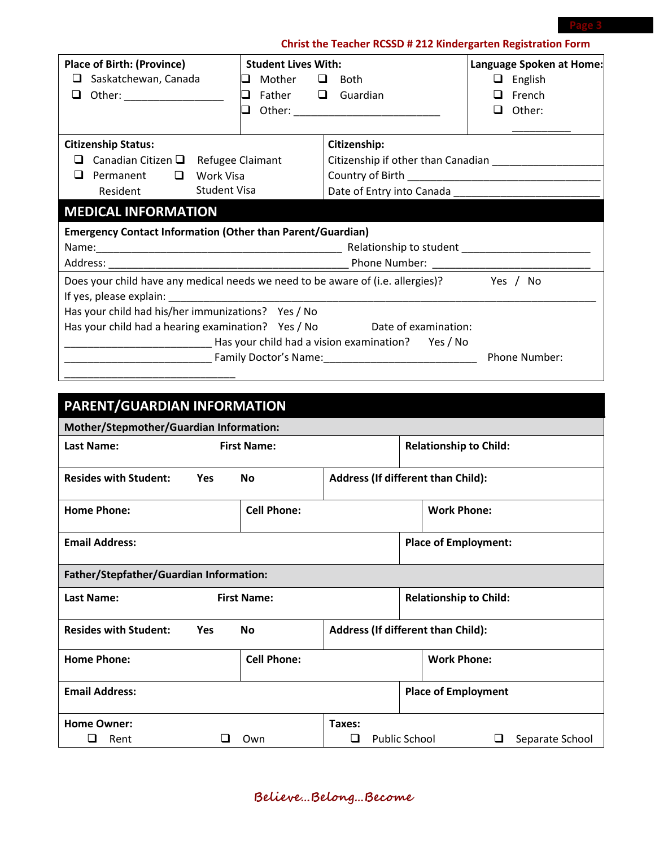## **Christ the Teacher RCSSD # 212 Kindergarten Registration Form**

| <b>Place of Birth: (Province)</b>                                                                                                                                                                                              | <b>Student Lives With:</b>    |                                               | Language Spoken at Home: |  |  |  |  |
|--------------------------------------------------------------------------------------------------------------------------------------------------------------------------------------------------------------------------------|-------------------------------|-----------------------------------------------|--------------------------|--|--|--|--|
| Saskatchewan, Canada<br>□                                                                                                                                                                                                      | $\Box$ Mother $\Box$ Both     |                                               | $\Box$ English           |  |  |  |  |
| Other: ____________________<br>□                                                                                                                                                                                               | $\Box$ Father $\Box$ Guardian |                                               | French<br>ப              |  |  |  |  |
|                                                                                                                                                                                                                                |                               | <b>Q</b> Other: _____________________________ | Other:<br>ப              |  |  |  |  |
|                                                                                                                                                                                                                                |                               |                                               |                          |  |  |  |  |
| <b>Citizenship Status:</b>                                                                                                                                                                                                     |                               | Citizenship:                                  |                          |  |  |  |  |
| Canadian Citizen $\Box$ Refugee Claimant<br>ப                                                                                                                                                                                  |                               |                                               |                          |  |  |  |  |
| $\Box$<br>Permanent<br>Work Visa<br>ப                                                                                                                                                                                          |                               |                                               |                          |  |  |  |  |
| Student Visa<br>Resident                                                                                                                                                                                                       |                               |                                               |                          |  |  |  |  |
| <b>MEDICAL INFORMATION</b>                                                                                                                                                                                                     |                               |                                               |                          |  |  |  |  |
| <b>Emergency Contact Information (Other than Parent/Guardian)</b>                                                                                                                                                              |                               |                                               |                          |  |  |  |  |
|                                                                                                                                                                                                                                |                               |                                               |                          |  |  |  |  |
|                                                                                                                                                                                                                                |                               |                                               |                          |  |  |  |  |
| Does your child have any medical needs we need to be aware of (i.e. allergies)? Yes / No                                                                                                                                       |                               |                                               |                          |  |  |  |  |
| If yes, please explain: Note and the set of the set of the set of the set of the set of the set of the set of the set of the set of the set of the set of the set of the set of the set of the set of the set of the set of th |                               |                                               |                          |  |  |  |  |
| Has your child had his/her immunizations? Yes / No                                                                                                                                                                             |                               |                                               |                          |  |  |  |  |
| Has your child had a hearing examination? Yes / No Date of examination:                                                                                                                                                        |                               |                                               |                          |  |  |  |  |
| Mas your child had a vision examination? Yes / No No No No No                                                                                                                                                                  |                               |                                               |                          |  |  |  |  |
|                                                                                                                                                                                                                                |                               |                                               |                          |  |  |  |  |
|                                                                                                                                                                                                                                |                               |                                               |                          |  |  |  |  |
|                                                                                                                                                                                                                                |                               |                                               |                          |  |  |  |  |

| PARENT/GUARDIAN INFORMATION             |                    |                    |                               |                               |                                           |                             |   |                 |
|-----------------------------------------|--------------------|--------------------|-------------------------------|-------------------------------|-------------------------------------------|-----------------------------|---|-----------------|
| Mother/Stepmother/Guardian Information: |                    |                    |                               |                               |                                           |                             |   |                 |
| <b>Last Name:</b>                       | <b>First Name:</b> |                    |                               | <b>Relationship to Child:</b> |                                           |                             |   |                 |
| <b>Resides with Student:</b>            | <b>Yes</b>         | <b>No</b>          |                               |                               | <b>Address (If different than Child):</b> |                             |   |                 |
| <b>Home Phone:</b>                      |                    | <b>Cell Phone:</b> |                               |                               |                                           | <b>Work Phone:</b>          |   |                 |
| <b>Email Address:</b>                   |                    |                    |                               |                               |                                           | <b>Place of Employment:</b> |   |                 |
| Father/Stepfather/Guardian Information: |                    |                    |                               |                               |                                           |                             |   |                 |
| <b>Last Name:</b>                       | <b>First Name:</b> |                    | <b>Relationship to Child:</b> |                               |                                           |                             |   |                 |
| <b>Resides with Student:</b>            | <b>Yes</b>         | <b>No</b>          |                               |                               | <b>Address (If different than Child):</b> |                             |   |                 |
| <b>Home Phone:</b>                      |                    | <b>Cell Phone:</b> |                               |                               |                                           | <b>Work Phone:</b>          |   |                 |
| <b>Email Address:</b>                   |                    |                    |                               |                               |                                           | <b>Place of Employment</b>  |   |                 |
| <b>Home Owner:</b>                      |                    |                    | Taxes:                        |                               |                                           |                             |   |                 |
| Rent<br>ப                               |                    | Own                | ❏                             | <b>Public School</b>          |                                           |                             | ⊔ | Separate School |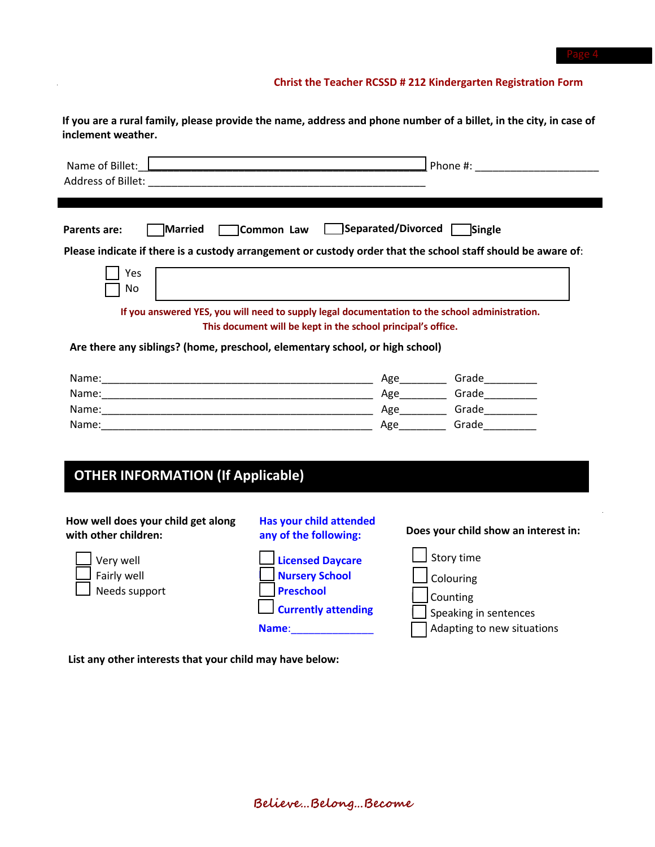### **Christ the Teacher RCSSD # 212 Kindergarten Registration Form**

If you are a rural family, please provide the name, address and phone number of a billet, in the city, in case of **inclement weather.**

| Name of Billet: L                                                                                                                                            |                                                                                                                                                                                                                      | Phone #: and a set of the set of the set of the set of the set of the set of the set of the set of the set of the set of the set of the set of the set of the set of the set of the set of the set of the set of the set of th |
|--------------------------------------------------------------------------------------------------------------------------------------------------------------|----------------------------------------------------------------------------------------------------------------------------------------------------------------------------------------------------------------------|--------------------------------------------------------------------------------------------------------------------------------------------------------------------------------------------------------------------------------|
| <b>Married</b><br>Parents are:<br>Please indicate if there is a custody arrangement or custody order that the school staff should be aware of:<br>Yes<br>No. | Common Law Separated/Divorced                                                                                                                                                                                        | Single                                                                                                                                                                                                                         |
|                                                                                                                                                              | If you answered YES, you will need to supply legal documentation to the school administration.                                                                                                                       |                                                                                                                                                                                                                                |
| Are there any siblings? (home, preschool, elementary school, or high school)                                                                                 | This document will be kept in the school principal's office.                                                                                                                                                         |                                                                                                                                                                                                                                |
|                                                                                                                                                              |                                                                                                                                                                                                                      |                                                                                                                                                                                                                                |
| <b>OTHER INFORMATION (If Applicable)</b>                                                                                                                     |                                                                                                                                                                                                                      |                                                                                                                                                                                                                                |
| How well does your child get along<br>with other children:                                                                                                   | <b>Has your child attended</b><br>any of the following:                                                                                                                                                              | Does your child show an interest in:                                                                                                                                                                                           |
| Very well<br>Fairly well<br>Needs support                                                                                                                    | <b>Licensed Daycare</b><br><b>Nursery School</b><br><b>Preschool</b><br><b>Currently attending</b><br>Name: and the state of the state of the state of the state of the state of the state of the state of the state | Story time<br>Colouring<br>Counting<br>Speaking in sentences<br>Adapting to new situations                                                                                                                                     |

**List any other interests that your child may have below:** 

 $\alpha$  .